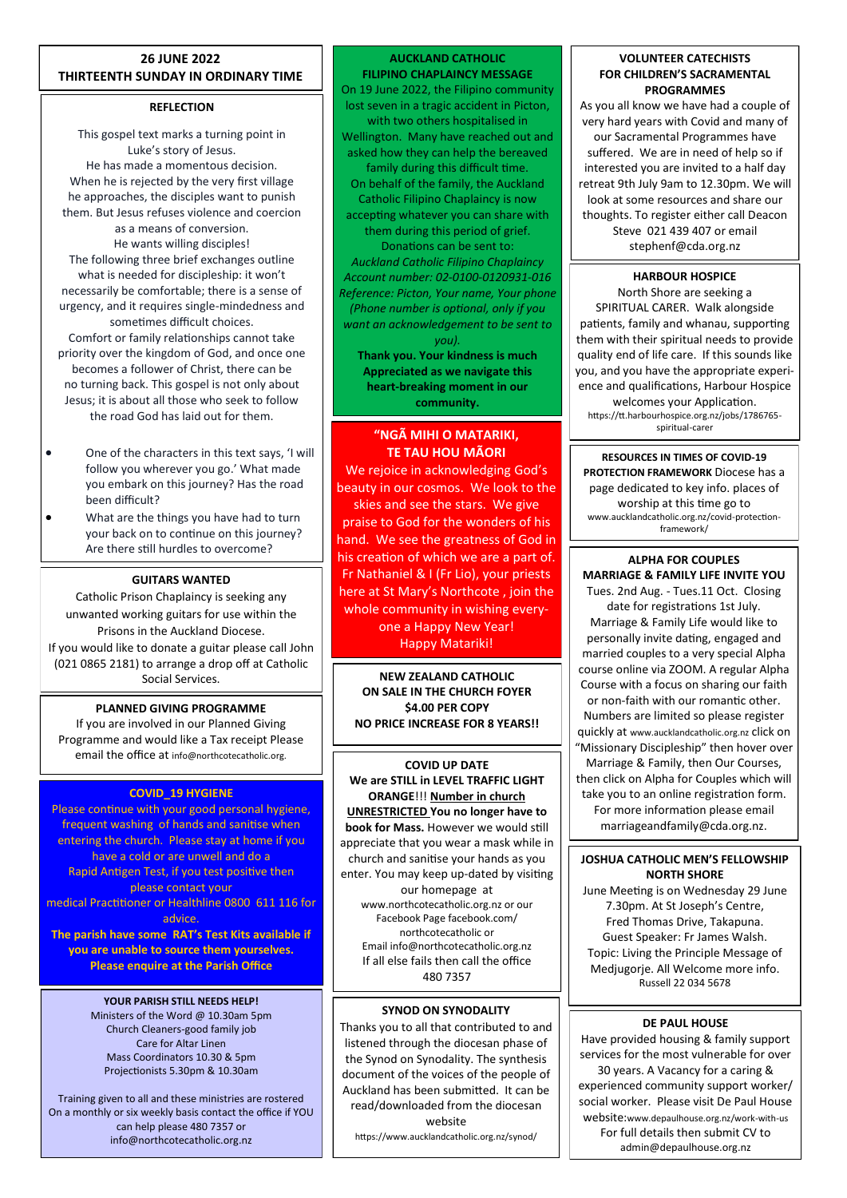## **26 JUNE 2022 THIRTEENTH SUNDAY IN ORDINARY TIME**

## **REFLECTION**

This gospel text marks a turning point in Luke's story of Jesus. He has made a momentous decision. When he is rejected by the very first village he approaches, the disciples want to punish them. But Jesus refuses violence and coercion as a means of conversion. He wants willing disciples! The following three brief exchanges outline what is needed for discipleship: it won't necessarily be comfortable; there is a sense of urgency, and it requires single-mindedness and sometimes difficult choices. Comfort or family relationships cannot take priority over the kingdom of God, and once one becomes a follower of Christ, there can be no turning back. This gospel is not only about Jesus; it is about all those who seek to follow the road God has laid out for them.

- One of the characters in this text says, 'I will follow you wherever you go.' What made you embark on this journey? Has the road been difficult?
- What are the things you have had to turn your back on to continue on this journey? Are there still hurdles to overcome?

## **GUITARS WANTED**

Catholic Prison Chaplaincy is seeking any unwanted working guitars for use within the Prisons in the Auckland Diocese. If you would like to donate a guitar please call John (021 0865 2181) to arrange a drop off at Catholic Social Services.

## **PLANNED GIVING PROGRAMME**

If you are involved in our Planned Giving Programme and would like a Tax receipt Please email the office at info@northcotecatholic.org.

## **COVID\_19 HYGIENE**

Please continue with your good personal hygiene, frequent washing of hands and sanitise when entering the church. Please stay at home if you have a cold or are unwell and do a Rapid Antigen Test, if you test positive then please contact your medical Practitioner or Healthline 0800 611 116 for advice.

**The parish have some RAT's Test Kits available if you are unable to source them yourselves. Please enquire at the Parish Office**

#### **YOUR PARISH STILL NEEDS HELP!** Ministers of the Word @ 10.30am 5pm Church Cleaners-good family job Care for Altar Linen Mass Coordinators 10.30 & 5pm Projectionists 5.30pm & 10.30am

Training given to all and these ministries are rostered On a monthly or six weekly basis contact the office if YOU can help please 480 7357 or info@northcotecatholic.org.nz

#### **AUCKLAND CATHOLIC FILIPINO CHAPLAINCY MESSAGE**

On 19 June 2022, the Filipino community lost seven in a tragic accident in Picton, with two others hospitalised in Wellington. Many have reached out and asked how they can help the bereaved family during this difficult time. On behalf of the family, the Auckland Catholic Filipino Chaplaincy is now accepting whatever you can share with them during this period of grief. Donations can be sent to: *Auckland Catholic Filipino Chaplaincy Account number: 02-0100-0120931-016 Reference: Picton, Your name, Your phone (Phone number is optional, only if you* 

*want an acknowledgement to be sent to you).* **Thank you. Your kindness is much** 

**Appreciated as we navigate this heart-breaking moment in our community.**

## **"NGÃ MIHI O MATARIKI, TE TAU HOU MÃORI**

We rejoice in acknowledging God's beauty in our cosmos. We look to the skies and see the stars. We give praise to God for the wonders of his hand. We see the greatness of God in his creation of which we are a part of. Fr Nathaniel & I (Fr Lio), your priests here at St Mary's Northcote , join the whole community in wishing every-

one a Happy New Year! Happy Matariki!

**NEW ZEALAND CATHOLIC ON SALE IN THE CHURCH FOYER \$4.00 PER COPY NO PRICE INCREASE FOR 8 YEARS!!**

### **COVID UP DATE We are STILL in LEVEL TRAFFIC LIGHT ORANGE**!!! **Number in church UNRESTRICTED You no longer have to book for Mass.** However we would still appreciate that you wear a mask while in church and sanitise your hands as you enter. You may keep up-dated by visiting our homepage at www.northcotecatholic.org.nz or our Facebook Page facebook.com/ northcotecatholic or Email info@northcotecatholic.org.nz If all else fails then call the office

480 7357

### **SYNOD ON SYNODALITY**

Thanks you to all that contributed to and listened through the diocesan phase of the Synod on Synodality. The synthesis document of the voices of the people of Auckland has been submitted. It can be read/downloaded from the diocesan website

https://www.aucklandcatholic.org.nz/synod/

### **VOLUNTEER CATECHISTS FOR CHILDREN'S SACRAMENTAL PROGRAMMES**

As you all know we have had a couple of very hard years with Covid and many of our Sacramental Programmes have suffered. We are in need of help so if interested you are invited to a half day retreat 9th July 9am to 12.30pm. We will look at some resources and share our thoughts. To register either call Deacon Steve 021 439 407 or email stephenf@cda.org.nz

# **HARBOUR HOSPICE**

North Shore are seeking a SPIRITUAL CARER. Walk alongside patients, family and whanau, supporting them with their spiritual needs to provide quality end of life care. If this sounds like you, and you have the appropriate experience and qualifications, Harbour Hospice welcomes your Application. https://tt.harbourhospice.org.nz/jobs/1786765 spiritual-carer

**RESOURCES IN TIMES OF COVID-19 PROTECTION FRAMEWORK** Diocese has a page dedicated to key info. places of worship at this time go to www.aucklandcatholic.org.nz/covid-protectionframework/

# **ALPHA FOR COUPLES MARRIAGE & FAMILY LIFE INVITE YOU**

Tues. 2nd Aug. - Tues.11 Oct. Closing date for registrations 1st July. Marriage & Family Life would like to personally invite dating, engaged and married couples to a very special Alpha course online via ZOOM. A regular Alpha Course with a focus on sharing our faith or non-faith with our romantic other. Numbers are limited so please register quickly at www.aucklandcatholic.org.nz click on "Missionary Discipleship" then hover over Marriage & Family, then Our Courses, then click on Alpha for Couples which will take you to an online registration form. For more information please email marriageandfamily@cda.org.nz.

## **JOSHUA CATHOLIC MEN'S FELLOWSHIP NORTH SHORE**

June Meeting is on Wednesday 29 June 7.30pm. At St Joseph's Centre, Fred Thomas Drive, Takapuna. Guest Speaker: Fr James Walsh. Topic: Living the Principle Message of Medjugorje. All Welcome more info. Russell 22 034 5678

## **DE PAUL HOUSE**

Have provided housing & family support services for the most vulnerable for over 30 years. A Vacancy for a caring & experienced community support worker/ social worker. Please visit De Paul House website:www.depaulhouse.org.nz/work-with-us For full details then submit CV to admin@depaulhouse.org.nz